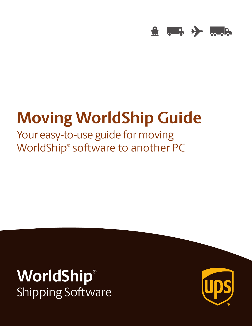

# **Moving WorldShip Guide**

Your easy-to-use guide for moving WorldShip® software to another PC

## **WorldShip®** Shipping Software

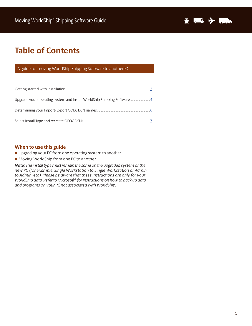

## **Table of Contents**

#### A guide for moving WorldShip Shipping Software to another PC

#### **When to use this guide**

- Upgrading your PC from one operating system to another
- Moving WorldShip from one PC to another

*Note: The install type must remain the same on the upgraded system or the new PC (for example, Single Workstation to Single Workstation or Admin to Admin, etc.). Please be aware that these instructions are only for your WorldShip data. Refer to Microsoft® for instructions on how to back up data and programs on your PC not associated with WorldShip.*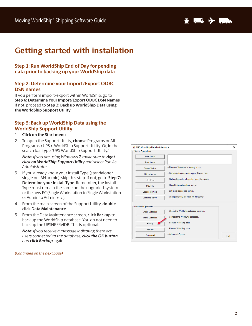

## **Getting started with installation**

#### **Step 1: Run WorldShip End of Day for pending data prior to backing up your WorldShip data**

#### **Step 2: Determine your Import/Export ODBC DSN names**

If you perform import/export within WorldShip, go to **Step 6: Determine Your Import/Export ODBC DSN Names**. If not, proceed to **Step 3: Back up WorldShip Data using the WorldShip Support Utility**.

#### **Step 3: Back up WorldShip Data using the WorldShip Support Utility**

- 1. **Click on the Start menu**.
- 2. To open the Support Utility, **choose** Programs or All Programs >UPS > WorldShip Support Utility. Or, in the search bar, type "UPS WorldShip Support Utility."

*Note: If you are using Windows 7, make sure to rightclick on WorldShip Support Utility and select Run As Administrator*.

- 3. If you already know your Install Type (standalone/ single or LAN admin), skip this step. If not, go to **Step 7: Determine your Install Type**. Remember, the Install Type must remain the same on the upgraded system or the new PC (Single Workstation to Single Workstation or Admin to Admin, etc.).
- 4. From the main screen of the Support Utility, **doubleclick Data Maintenance**.
- 5. From the Data Maintenance screen, **click Backup** to back up the WorldShip database. You do not need to back up the UPSNRFRvlDB. This is optional.

*Note: If you receive a message indicating there are users connected to the database, click the OK button and click Backup* again.

*(Continued on the next page)*

| Start Server                                        |                                                    |  |
|-----------------------------------------------------|----------------------------------------------------|--|
| <b>Stop Server</b>                                  |                                                    |  |
| Server Status                                       | -- Reports if the server is running or not.        |  |
| List Instances                                      | -- List server instances running on this machine.  |  |
| SQL Diag                                            | -- Gather diagnostic information about the server. |  |
| SQL Info                                            | -- Report information about server.                |  |
| <b>Logged In Users</b>                              | -- List users logged into server.                  |  |
| <b>Configure Server</b>                             | -- Change memory allocated for this server.        |  |
| <b>Database Operations</b><br><b>Check Database</b> | -- Check the WorldShip database for errors.        |  |
| <b>Shrink Database</b>                              | -- Compact the WorldShip database.                 |  |
| Backup                                              | -- Backup WorldShip data.                          |  |
| Restore                                             | -- Restore WorldShip data.                         |  |
| Advanced                                            | -- Advanced Options                                |  |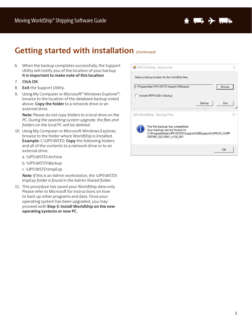

## **Getting started with installation** *(Continued)*

- 6. When the backup completes successfully, the Support Utility will notify you of the location of your backup. **It is important to make note of this location**.
- 7. **Click OK**.
- 8. **Exit** the Support Utility.
- 9. Using My Computer or Microsoft<sup>®</sup> Windows Explorer<sup>®</sup>, browse to the location of the database backup noted above. **Copy the folder** to a network drive or an external drive.

*Note: Please do not copy folders to a local drive on the PC. During the operating system upgrade, the files and folders on th*e local PC will be deleted.

- 10. Using My Computer or Microsoft Windows Explorer, browse to the folder where WorldShip is installed. **Example:** C:\UPS\WSTD. **Copy** the following folders and all of the contents to a network drive or to an external drive:
	- a. \UPS\WSTD\Archive
	- b. \UPS\WSTD\Backup
	- c. \UPS\WSTD\ImpExp

*Note: If this is an Admin workstation, the \UPS\WSTD\ ImpExp folder is found in the Admin Shared folder.*

11. This procedure has saved your WorldShip data only. Please refer to Microsoft for instructions on how to back up other programs and data. Once your operating system has been upgraded, you may proceed with **Step 5: Install WorldShip on the new operating systems or new PC.**

| <b>Browse</b><br><b>Fxit</b><br>Backup               | C:\ProgramData\UPS\WSTD\Support\DBSupport<br>Include NRFRvIDB in Backup                   |
|------------------------------------------------------|-------------------------------------------------------------------------------------------|
|                                                      |                                                                                           |
|                                                      |                                                                                           |
|                                                      |                                                                                           |
|                                                      | UPS WorldShip - Backup Files                                                              |
| C:\ProgramData\UPS\WSTD\Support\DBSupport\UPSWS_SUPP | The file backup has completed.<br>Your backup can be found in:<br>ORTNP_20210901_v138_001 |
|                                                      |                                                                                           |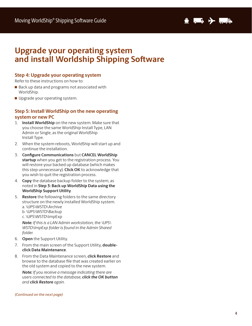

## **Upgrade your operating system and install Worldship Shipping Software**

#### **Step 4: Upgrade your operating system**

Refer to these instructions on how to:

- Back up data and programs not associated with WorldShip.
- Upgrade your operating system.

#### **Step 5: Install WorldShip on the new operating system or new PC**

- 1. **Install WorldShip** on the new system. Make sure that you choose the same WorldShip Install Type, LAN Admin or Single, as the original WorldShip Install Type.
- 2. When the system reboots, WorldShip will start up and continue the installation.
- 3. **Configure Communications** but **CANCEL WorldShip startup** when you get to the registration process. You will restore your backed up database (which makes this step unnecessary). **Click OK** to acknowledge that you wish to quit the registration process.
- 4. **Copy** the database backup folder to the system, as noted in **Step 3: Back up WorldShip Data using the WorldShip Support Utility**.
- 5. **Restore** the following folders to the same directory structure on the newly installed WorldShip system. a. \UPS\WSTD\Archive b. \UPS\WSTD\Backup c. \UPS\WSTD\ImpExp

*Note: If this is a LAN Admin workstation, the \UPS\ WSTD\ImpExp folder is found in the Admin Shared folder.*

- 6. **Open** the Support Utility.
- 7. From the main screen of the Support Utility, **doubleclick Data Maintenance**.
- 8. From the Data Maintenance screen, **click Restore** and browse to the database file that was created earlier on the old system and copied to the new system.

*Note: If you receive a message indicating there are users connected to the database, click the OK button and click Restore again.*

#### *(Continued on the next page)*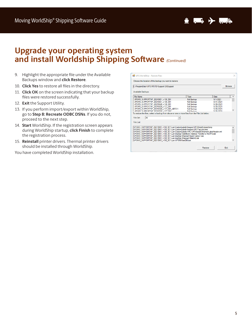

## **Upgrade your operating system and install Worldship Shipping Software** *(Continued)*

- 9. Highlight the appropriate file under the Available Backups window and **click Restore**.
- 10. **Click Yes** to restore all files in the directory.
- 11. **Click OK** on the screen indicating that your backup files were restored successfully.
- 12. **Exit** the Support Utility.
- 13. If you perform import/export within WorldShip, go to **Step 8: Recreate ODBC DSNs**. If you do not, proceed to the next step.
- 14. **Start** WorldShip. If the registration screen appears during WorldShip startup, **click Finish** to complete the registration process.
- 15. **Reinstall** printer drivers. Thermal printer drivers should be installed through WorldShip.

You have completed WorldShip installation.

| UPS WorldShip - Restore Files                                                                                                                                                                                                                                                              |                                           |                               | $\times$      |
|--------------------------------------------------------------------------------------------------------------------------------------------------------------------------------------------------------------------------------------------------------------------------------------------|-------------------------------------------|-------------------------------|---------------|
| Choose the location of the backup you want to restore:                                                                                                                                                                                                                                     |                                           |                               |               |
| C:\ProgramData\UPS\WSTD\Support\DBSupport                                                                                                                                                                                                                                                  |                                           |                               | <b>Browse</b> |
| Available Backups:                                                                                                                                                                                                                                                                         |                                           |                               |               |
| <b>File Name</b>                                                                                                                                                                                                                                                                           | Type                                      | Date                          | ۸             |
| UPSWS SUPPORTNP 20210901 v138 001                                                                                                                                                                                                                                                          | <b>Full Backup</b>                        | 9/1/2021                      |               |
| UPSWS SUPPORTNP 20210831 v138 001                                                                                                                                                                                                                                                          | <b>Full Backup</b>                        | 8/31/2021                     |               |
| UPSWS SUPPORTNP 20210628 v138 001                                                                                                                                                                                                                                                          | <b>Full Backup</b>                        | 6/28/2021                     |               |
| UPSWS_SUPPORTNP_20210520_v137_001                                                                                                                                                                                                                                                          | <b>Full Backup</b>                        | 5/20/2021                     |               |
| UPSWS SUPPORTNP 20210520 v137 001 ABR2.1<br>LIPSMS SLIPPORTNP 20210520 v137 002                                                                                                                                                                                                            | <b>Full Backup</b><br><b>Call Dealers</b> | 5/20/2021<br><b>ECOC/OC/R</b> |               |
| File Set:<br>All                                                                                                                                                                                                                                                                           |                                           |                               |               |
| File List:                                                                                                                                                                                                                                                                                 |                                           |                               |               |
| UPSWS SUPPORTNP 20210901 v138 001\Lan\CustomLabels\Images\UPSShieldColored.bmp<br>UPSWS_SUPPORTNP_20210901_v138_001\Lan\CustomLabels\Images\UPSTagLine.bmp                                                                                                                                 |                                           |                               | ۸             |
| UPSWS_SUPPORTNP_20210901_v138_001\Lan\CustomLabels\XML\UPSSampleShipmentLabelHeader.xml                                                                                                                                                                                                    |                                           |                               |               |
|                                                                                                                                                                                                                                                                                            |                                           |                               |               |
|                                                                                                                                                                                                                                                                                            |                                           |                               |               |
|                                                                                                                                                                                                                                                                                            |                                           |                               |               |
|                                                                                                                                                                                                                                                                                            |                                           |                               |               |
| UPSWS_SUPPORTNP_20210901_v138_001\Lan\ImpExp\AddrBook\Address Transfer to MyUPS.dat<br>UPSWS_SUPPORTNP_20210901_v138_001\Lan\ImpExp\Shipment\batch.demo1.dat<br>UPSWS_SUPPORTNP_20210901_v138_001\Lan\ImpExp\Shipment\Batch2.dat<br>UPSWS SUPPORTNP 20210901 v138 001\Lan\UPSNrfUserDB.bak |                                           |                               |               |
|                                                                                                                                                                                                                                                                                            |                                           |                               |               |
|                                                                                                                                                                                                                                                                                            |                                           | Restore                       | <b>Fxit</b>   |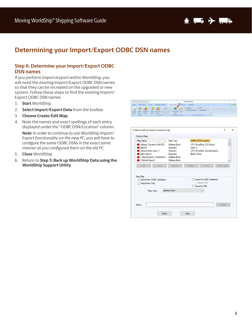

### **Determining your Import/Export ODBC DSN names**

#### **Step 6: Determine your Import/Export ODBC DSN names**

If you perform import/export within WorldShip, you will need the existing Import/Export ODBC DSN names so that they can be recreated on the upgraded or new system. Follow these steps to find the existing Import/ Export ODBC DSN names.

- 1. **Start** WorldShip.
- 2. **Select Import/Export Data** from the toolbar.
- 3. **Choose Create/Edit Map**.
- 4. Note the names and exact spellings of each entry displayed under the "ODBC DSN/Location" column.

*Note: In order to continue to use WorldShip Import/ Export functionality on the new PC, you will have to configure the same ODBC DSNs in the exact same manner as you configured them on the old PC.*

- 5. **Close** WorldShip.
- 6. Return to **Step 3: Back up WorldShip Data using the WorldShip Support Utility**.



|                                                                                                                                                                           |      | Map Type                                                                                              |  |                                                                                         | <b>ODBC DSN/Location</b>           |            | $\land$ |
|---------------------------------------------------------------------------------------------------------------------------------------------------------------------------|------|-------------------------------------------------------------------------------------------------------|--|-----------------------------------------------------------------------------------------|------------------------------------|------------|---------|
| Address Transfer to MyUPS<br><b>E</b> Batch2<br>Sample Order Import 1<br><b>E</b> batch demo1<br>Default Export - WorldShip }<br>$\blacktriangleright$ { Default Export } |      | <b>Address Book</b><br>Shipment<br>Shipment<br>Shipment<br><b>Address Book</b><br><b>Address Book</b> |  | UPS WorldShip CSV Export<br>batch 2<br>UPS WorldShip SampleOrderIm<br><b>Batch Demo</b> |                                    |            | v       |
| Edit                                                                                                                                                                      | Copy | Rename                                                                                                |  | Delete.                                                                                 | <b>View</b>                        | ODBC Login |         |
| New Map<br>O Import from ODBC Database                                                                                                                                    |      |                                                                                                       |  |                                                                                         | Export to ODBC Database            |            |         |
| Import from XML                                                                                                                                                           |      |                                                                                                       |  |                                                                                         | <b>Export CSV</b><br>Export to XML |            |         |
|                                                                                                                                                                           |      | <b>Address Book</b>                                                                                   |  |                                                                                         | $\checkmark$                       |            |         |
| Map Type:                                                                                                                                                                 |      |                                                                                                       |  |                                                                                         |                                    |            |         |
|                                                                                                                                                                           |      |                                                                                                       |  |                                                                                         |                                    |            |         |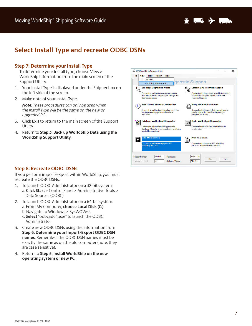

## **Select Install Type and recreate ODBC DSNs**

#### **Step 7: Determine your Install Type**

To determine your install type, choose View > WorldShip Information from the main screen of the Support Utility.

- 1. Your Install Type is displayed under the Shipper box on the left side of the screen.
- 2. Make note of your Install Type.

*Note: These procedures can only be used when the Install Type will be the same on the new or upgraded PC.*

- 3. **Click Exit** to return to the main screen of the Support Utility.
- 4. Return to **Step 3: Back up WorldShip Data using the WorldShip Support Utility**.



#### **Step 8: Recreate ODBC DSNs**

If you perform import/export within WorldShip, you must recreate the ODBC DSNs.

- 1. To launch ODBC Administrator on a 32-bit system: a. **Click Start** > Control Panel > Administrative Tools > Data Sources (ODBC)
- 2. To launch ODBC Administrator on a 64-bit system: a. From My Computer, **choose Local Disk (C:)** b. Navigate to Windows > SysWOW64 c. **Select** "odbcad64.exe" to launch the ODBC
	- Administrator
- 3. Create new ODBC DSNs using the information from **Step 6: Determine your Import/Export ODBC DSN names**. Remember, the ODBC DSN names must be exactly the same as on the old computer (note: they are case sensitive).
- 4. Return to **Step 5: Install WorldShip on the new operating system or new PC**.